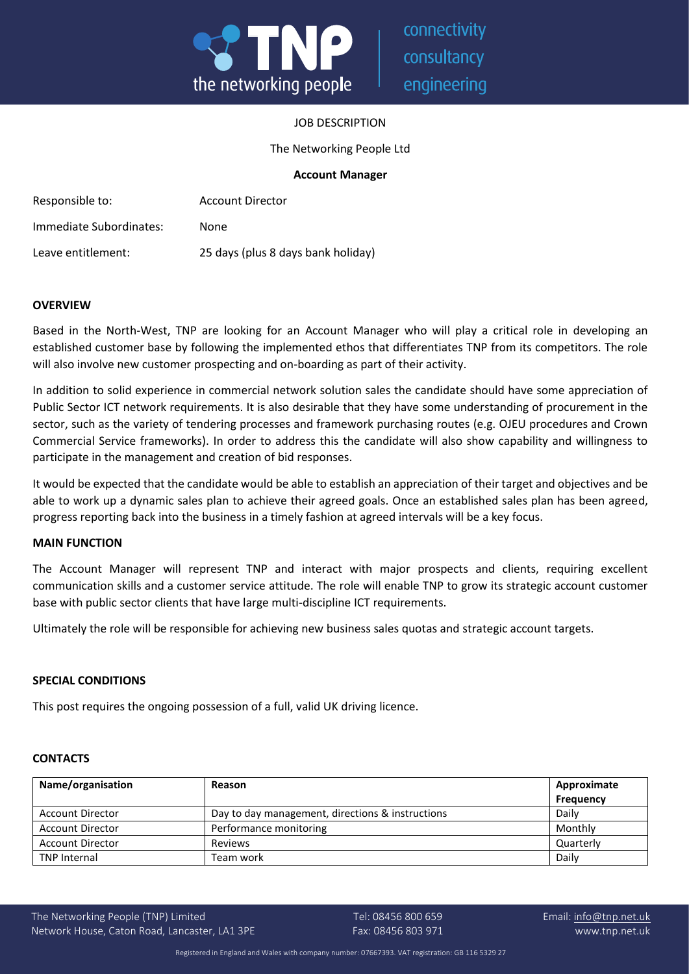

connectivity consultancy engineering

## JOB DESCRIPTION

The Networking People Ltd

## **Account Manager**

| Responsible to:         | <b>Account Director</b>            |
|-------------------------|------------------------------------|
| Immediate Subordinates: | None                               |
| Leave entitlement:      | 25 days (plus 8 days bank holiday) |

#### **OVERVIEW**

Based in the North-West, TNP are looking for an Account Manager who will play a critical role in developing an established customer base by following the implemented ethos that differentiates TNP from its competitors. The role will also involve new customer prospecting and on-boarding as part of their activity.

In addition to solid experience in commercial network solution sales the candidate should have some appreciation of Public Sector ICT network requirements. It is also desirable that they have some understanding of procurement in the sector, such as the variety of tendering processes and framework purchasing routes (e.g. OJEU procedures and Crown Commercial Service frameworks). In order to address this the candidate will also show capability and willingness to participate in the management and creation of bid responses.

It would be expected that the candidate would be able to establish an appreciation of their target and objectives and be able to work up a dynamic sales plan to achieve their agreed goals. Once an established sales plan has been agreed, progress reporting back into the business in a timely fashion at agreed intervals will be a key focus.

## **MAIN FUNCTION**

The Account Manager will represent TNP and interact with major prospects and clients, requiring excellent communication skills and a customer service attitude. The role will enable TNP to grow its strategic account customer base with public sector clients that have large multi-discipline ICT requirements.

Ultimately the role will be responsible for achieving new business sales quotas and strategic account targets.

## **SPECIAL CONDITIONS**

This post requires the ongoing possession of a full, valid UK driving licence.

#### **CONTACTS**

| Name/organisation       | Reason                                           | Approximate      |
|-------------------------|--------------------------------------------------|------------------|
|                         |                                                  | <b>Frequency</b> |
| <b>Account Director</b> | Day to day management, directions & instructions | Daily            |
| <b>Account Director</b> | Performance monitoring                           | Monthly          |
| <b>Account Director</b> | Reviews                                          | Quarterly        |
| <b>TNP Internal</b>     | Team work                                        | Daily            |

The Networking People (TNP) Limited Tel: 08456 800 659 Tel: 08456 800 659 Email: [info@tnp.net.uk](mailto:info@tnp.net.uk) Network House, Caton Road, Lancaster, LA1 3PE Fax: 08456 803 971 www.tnp.net.uk

Registered in England and Wales with company number: 07667393. VAT registration: GB 116 5329 27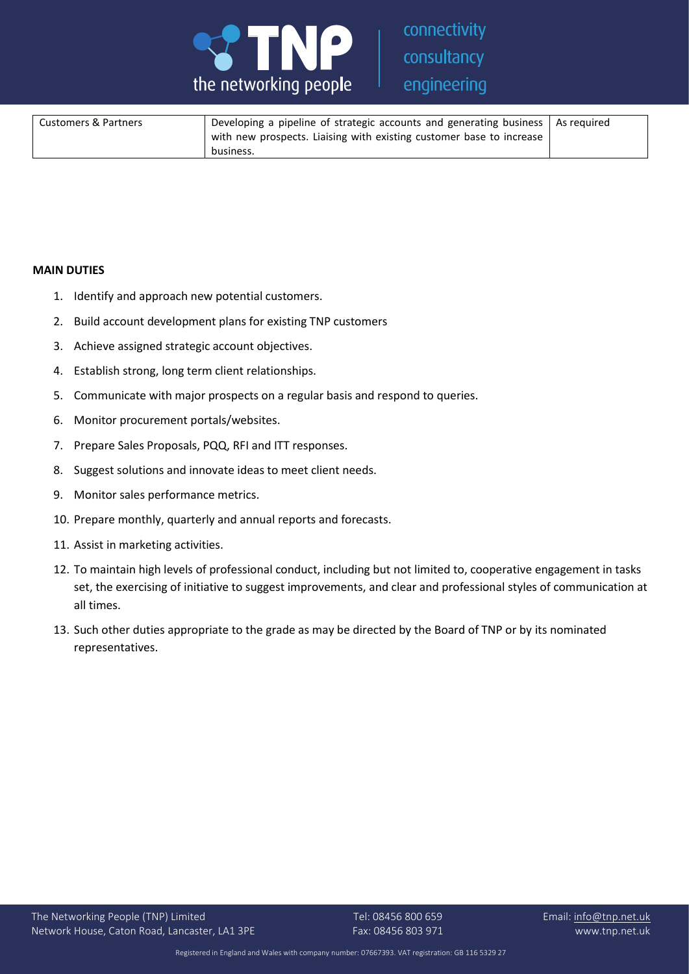

connectivity consultancy engineering

| <b>Customers &amp; Partners</b> | ' Developing a pipeline of strategic accounts and generating business   As required<br>with new prospects. Liaising with existing customer base to increase |  |
|---------------------------------|-------------------------------------------------------------------------------------------------------------------------------------------------------------|--|
|                                 | business.                                                                                                                                                   |  |

## **MAIN DUTIES**

- 1. Identify and approach new potential customers.
- 2. Build account development plans for existing TNP customers
- 3. Achieve assigned strategic account objectives.
- 4. Establish strong, long term client relationships.
- 5. Communicate with major prospects on a regular basis and respond to queries.
- 6. Monitor procurement portals/websites.
- 7. Prepare Sales Proposals, PQQ, RFI and ITT responses.
- 8. Suggest solutions and innovate ideas to meet client needs.
- 9. Monitor sales performance metrics.
- 10. Prepare monthly, quarterly and annual reports and forecasts.
- 11. Assist in marketing activities.
- 12. To maintain high levels of professional conduct, including but not limited to, cooperative engagement in tasks set, the exercising of initiative to suggest improvements, and clear and professional styles of communication at all times.
- 13. Such other duties appropriate to the grade as may be directed by the Board of TNP or by its nominated representatives.